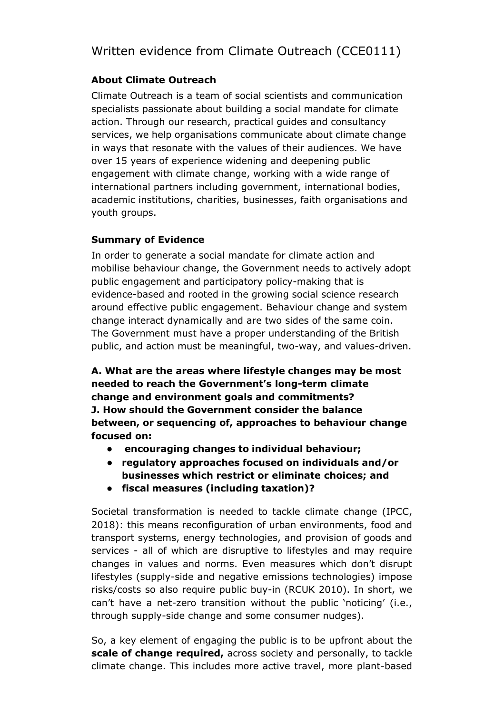# Written evidence from Climate Outreach (CCE0111)

### **About Climate Outreach**

Climate Outreach is a team of social scientists and communication specialists passionate about building a social mandate for climate action. Through our research, practical guides and consultancy services, we help organisations communicate about climate change in ways that resonate with the values of their audiences. We have over 15 years of experience widening and deepening public engagement with climate change, working with a wide range of international partners including government, international bodies, academic institutions, charities, businesses, faith organisations and youth groups.

## **Summary of Evidence**

In order to generate a social mandate for climate action and mobilise behaviour change, the Government needs to actively adopt public engagement and participatory policy-making that is evidence-based and rooted in the growing social science research around effective public engagement. Behaviour change and system change interact dynamically and are two sides of the same coin. The Government must have a proper understanding of the British public, and action must be meaningful, two-way, and values-driven.

**A. What are the areas where lifestyle changes may be most needed to reach the Government's long-term climate change and environment goals and commitments? J. How should the Government consider the balance between, or sequencing of, approaches to behaviour change focused on:**

- **● encouraging changes to individual behaviour;**
- **● regulatory approaches focused on individuals and/or businesses which restrict or eliminate choices; and**
- **● fiscal measures (including taxation)?**

Societal transformation is needed to tackle climate change (IPCC, 2018): this means reconfiguration of urban environments, food and transport systems, energy technologies, and provision of goods and services - all of which are disruptive to lifestyles and may require changes in values and norms. Even measures which don't disrupt lifestyles (supply-side and negative emissions technologies) impose risks/costs so also require public buy-in (RCUK 2010). In short, we can't have a net-zero transition without the public 'noticing' (i.e., through supply-side change and some consumer nudges).

So, a key element of engaging the public is to be upfront about the **scale of change required,** across society and personally, to tackle climate change. This includes more active travel, more plant-based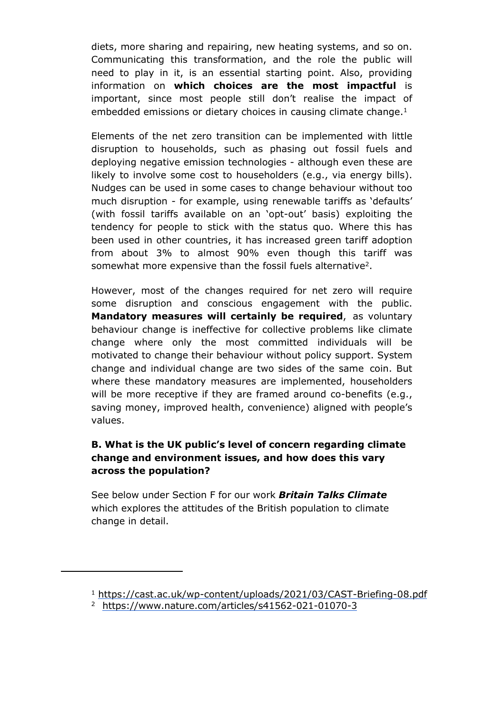diets, more sharing and repairing, new heating systems, and so on. Communicating this transformation, and the role the public will need to play in it, is an essential starting point. Also, providing information on **which choices are the most impactful** is important, since most people still don't realise the impact of embedded emissions or dietary choices in causing climate change.<sup>1</sup>

Elements of the net zero transition can be implemented with little disruption to households, such as phasing out fossil fuels and deploying negative emission technologies - although even these are likely to involve some cost to householders (e.g., via energy bills). Nudges can be used in some cases to change behaviour without too much disruption - for example, using renewable tariffs as 'defaults' (with fossil tariffs available on an 'opt-out' basis) exploiting the tendency for people to stick with the status quo. Where this has been used in other countries, it has increased green tariff adoption from about 3% to almost 90% even though this tariff was somewhat more expensive than the fossil fuels alternative<sup>2</sup>.

However, most of the changes required for net zero will require some disruption and conscious engagement with the public. **Mandatory measures will certainly be required**, as voluntary behaviour change is ineffective for collective problems like climate change where only the most committed individuals will be motivated to change their behaviour without policy support. System change and individual change are two sides of the same coin. But where these mandatory measures are implemented, householders will be more receptive if they are framed around co-benefits (e.g., saving money, improved health, convenience) aligned with people's values.

#### **B. What is the UK public's level of concern regarding climate change and environment issues, and how does this vary across the population?**

See below under Section F for our work *Britain Talks Climate* which explores the attitudes of the British population to climate change in detail.

<sup>1</sup> [https://cast.ac.uk/wp-content/uploads/2021/03/CAST-Briefing-](https://cast.ac.uk/wp-content/uploads/2021/03/CAST-Briefing-08.pdf)0[8.](https://cast.ac.uk/wp-content/uploads/2021/03/CAST-Briefing-08.pdf)pdf

<sup>2</sup> https://ww[w.](https://www.nature.com/articles/s41562-021-01070-3)nature[.](https://www.nature.com/articles/s41562-021-01070-3)co[m/](https://www.nature.com/articles/s41562-021-01070-3)article[s/s4](https://www.nature.com/articles/s41562-021-01070-3)156[2-0](https://www.nature.com/articles/s41562-021-01070-3)21[-0](https://www.nature.com/articles/s41562-021-01070-3)107[0-3](https://www.nature.com/articles/s41562-021-01070-3)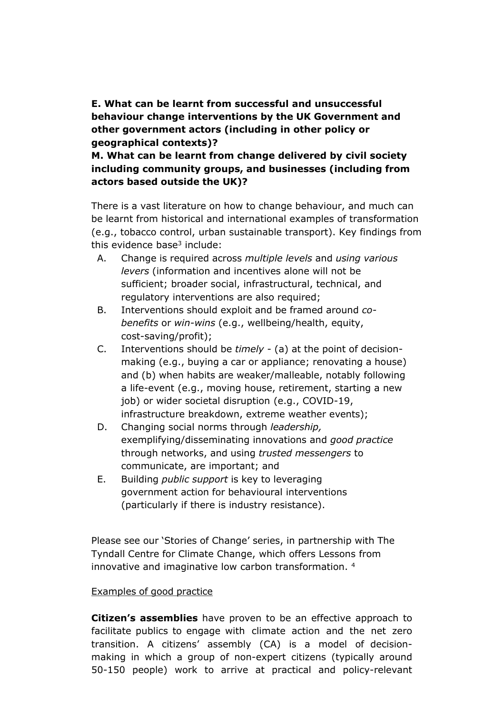**E. What can be learnt from successful and unsuccessful behaviour change interventions by the UK Government and other government actors (including in other policy or geographical contexts)?**

## **M. What can be learnt from change delivered by civil society including community groups, and businesses (including from actors based outside the UK)?**

There is a vast literature on how to change behaviour, and much can be learnt from historical and international examples of transformation (e.g., tobacco control, urban sustainable transport). Key findings from this evidence base<sup>3</sup> include:

- A. Change is required across *multiple levels* and *using various levers* (information and incentives alone will not be sufficient; broader social, infrastructural, technical, and regulatory interventions are also required;
- B. Interventions should exploit and be framed around *cobenefits* or *win-wins* (e.g., wellbeing/health, equity, cost-saving/profit);
- C. Interventions should be *timely* (a) at the point of decisionmaking (e.g., buying a car or appliance; renovating a house) and (b) when habits are weaker/malleable, notably following a life-event (e.g., moving house, retirement, starting a new job) or wider societal disruption (e.g., COVID-19, infrastructure breakdown, extreme weather events);
- D. Changing social norms through *leadership,* exemplifying/disseminating innovations and *good practice* through networks, and using *trusted messengers* to communicate, are important; and
- E. Building *public support* is key to leveraging government action for behavioural interventions (particularly if there is industry resistance).

Please see our 'Stories of Change' series, in partnership with The Tyndall Centre for Climate Change, which offers Lessons from innovative and imaginative low carbon transformation. <sup>4</sup>

#### Examples of good practice

**Citizen's assemblies** have proven to be an effective approach to facilitate publics to engage with climate action and the net zero transition. A citizens' assembly (CA) is a model of decisionmaking in which a group of non-expert citizens (typically around 50-150 people) work to arrive at practical and policy-relevant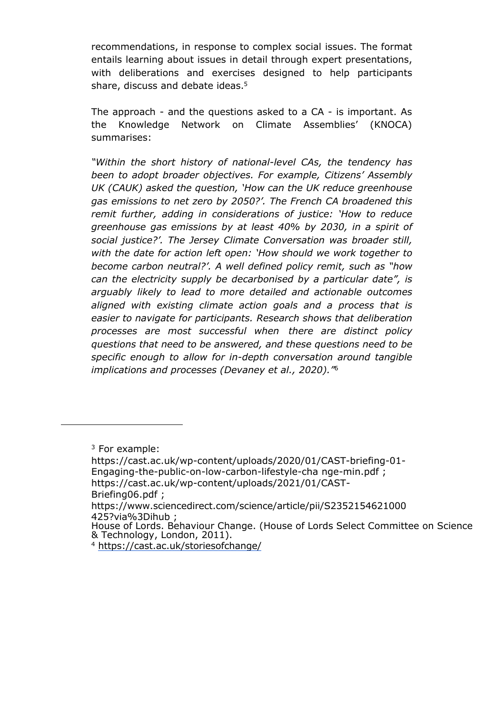recommendations, in response to complex social issues. The format entails learning about issues in detail through expert presentations, with deliberations and exercises designed to help participants share, discuss and debate ideas. 5

The approach - and the questions asked to a CA - is important. As the Knowledge Network on Climate Assemblies' (KNOCA) summarises:

*"Within the short history of national-level CAs, the tendency has been to adopt broader objectives. For example, Citizens' Assembly UK (CAUK) asked the question, 'How can the UK reduce greenhouse gas emissions to net zero by 2050?'. The French CA broadened this remit further, adding in considerations of justice: 'How to reduce greenhouse gas emissions by at least 40% by 2030, in a spirit of social justice?'. The Jersey Climate Conversation was broader still, with the date for action left open: 'How should we work together to become carbon neutral?'. A well defined policy remit, such as "how can the electricity supply be decarbonised by a particular date", is arguably likely to lead to more detailed and actionable outcomes aligned with existing climate action goals and a process that is easier to navigate for participants. Research shows that deliberation processes are most successful when there are distinct policy questions that need to be answered, and these questions need to be specific enough to allow for in-depth conversation around tangible implications and processes (Devaney et al., 2020)."*<sup>6</sup>

<sup>3</sup> For example:

[https://cast.ac.uk/wp-content/uploads/2020/01/CAST-briefing-01-](https://cast.ac.uk/wp-content/uploads/2020/01/CAST-briefing-01-Engaging-the-public-on-low-carbon-lifestyle-change-min.pdf) [Engaging-the-public-on-low-carbon-lifestyle-cha](https://cast.ac.uk/wp-content/uploads/2020/01/CAST-briefing-01-Engaging-the-public-on-low-carbon-lifestyle-change-min.pdf) [nge-min.pdf](https://cast.ac.uk/wp-content/uploads/2020/01/CAST-briefing-01-Engaging-the-public-on-low-carbon-lifestyle-change-min.pdf) ; [https://cast.ac.uk/wp-content/uploads/2021/01/CAST-](https://cast.ac.uk/wp-content/uploads/2021/01/CAST-Briefing06.pdf)[Briefing06.pdf](https://cast.ac.uk/wp-content/uploads/2021/01/CAST-Briefing06.pdf) [;](https://cast.ac.uk/wp-content/uploads/2021/01/CAST-Briefing06.pdf)

https://ww[w.s](https://www.sciencedirect.com/science/article/pii/S2352154621000425?via%3Dihub)ciencedirec[t.c](https://www.sciencedirect.com/science/article/pii/S2352154621000425?via%3Dihub)om[/s](https://www.sciencedirect.com/science/article/pii/S2352154621000425?via%3Dihub)cienc[e/](https://www.sciencedirect.com/science/article/pii/S2352154621000425?via%3Dihub)articl[e/](https://www.sciencedirect.com/science/article/pii/S2352154621000425?via%3Dihub)pii[/S](https://www.sciencedirect.com/science/article/pii/S2352154621000425?via%3Dihub)2352154621000 425[?](https://www.sciencedirect.com/science/article/pii/S2352154621000425?via%3Dihub)vi[a%3D](https://www.sciencedirect.com/science/article/pii/S2352154621000425?via%3Dihub)ihub ;

House of Lords. [B](https://www.sciencedirect.com/science/article/pii/S2352154621000425?via%3Dihub)ehaviour Change. (House of Lords Select Committee on Science & Technology, London, 2011).

<sup>4</sup> https://cas[t.](https://cast.ac.uk/storiesofchange/)a[c.](https://cast.ac.uk/storiesofchange/)uk[/](https://cast.ac.uk/storiesofchange/)storiesofchang[e/](https://cast.ac.uk/storiesofchange/)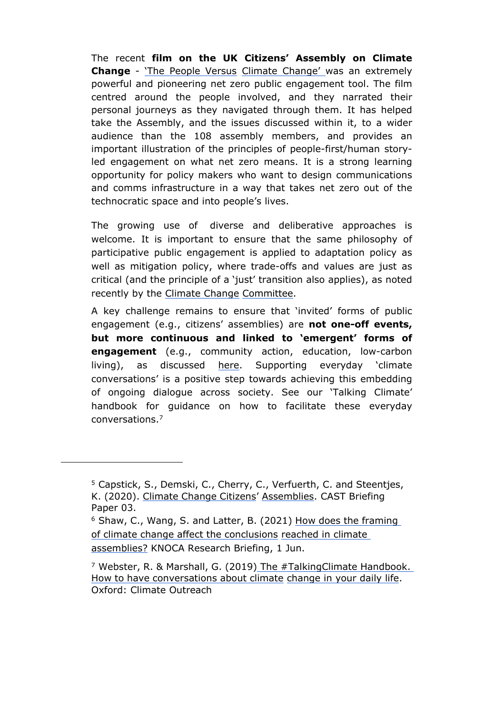The recent **film on the UK Citizens' Assembly on Climate Change** - ['The](https://www.bbc.co.uk/programmes/p097sbzc) [People](https://www.bbc.co.uk/programmes/p097sbzc) [Versus](https://www.bbc.co.uk/programmes/p097sbzc) [Climate](https://www.bbc.co.uk/programmes/p097sbzc) [Change'](https://www.bbc.co.uk/programmes/p097sbzc) was an extremely powerful and pioneering net zero public engagement tool. The film centred around the people involved, and they narrated their personal journeys as they navigated through them. It has helped take the Assembly, and the issues discussed within it, to a wider audience than the 108 assembly members, and provides an important illustration of the principles of people-first/human storyled engagement on what net zero means. It is a strong learning opportunity for policy makers who want to design communications and comms infrastructure in a way that takes net zero out of the technocratic space and into people's lives.

The growing use of diverse and deliberative approaches is welcome. It is important to ensure that the same philosophy of participative public engagement is applied to adaptation policy as well as mitigation policy, where trade-offs and values are just as critical (and the principle of a 'just' transition also applies), as noted recently by the [Climate](https://www.theccc.org.uk/2021/01/14/the-path-to-net-zero-event-series/) [Change](https://www.theccc.org.uk/2021/01/14/the-path-to-net-zero-event-series/) Committee.

A key challenge remains to ensure that 'invited' forms of public engagement (e.g., citizens' assemblies) are **not one-off events, but more continuous and linked to 'emergent' forms of engagement** (e.g., community action, education, low-carbon living), as discussed [here](https://assets.publishing.service.gov.uk/government/uploads/system/uploads/attachment_data/file/969428/net-zero-public-engagement-participation-research-note.pdf). Supporting everyday 'climate conversations' is a positive step towards achieving this embedding of ongoing dialogue across society. See our 'Talking Climate' handbook for guidance on how to facilitate these everyday conversations.<sup>7</sup>

<sup>5</sup> Capstick, S., Demski, C., Cherry, C., Verfuerth, C. and Steentjes, K. (2020). [Climate](https://cast.ac.uk/wp-content/uploads/2020/03/CAST-Briefing-03-Climate-Change-Citizens-Assemblies.pdf) [Change](https://cast.ac.uk/wp-content/uploads/2020/03/CAST-Briefing-03-Climate-Change-Citizens-Assemblies.pdf) [Citizens'](https://cast.ac.uk/wp-content/uploads/2020/03/CAST-Briefing-03-Climate-Change-Citizens-Assemblies.pdf) [Assemblies.](https://cast.ac.uk/wp-content/uploads/2020/03/CAST-Briefing-03-Climate-Change-Citizens-Assemblies.pdf) CAST Briefing Paper 03.

<sup>6</sup> Shaw, C., Wang, S. and Latter, B. (2021) [How](https://climateoutreach.org/reports/knoca-climate-assemblies-framing/) [does](https://climateoutreach.org/reports/knoca-climate-assemblies-framing/) [the](https://climateoutreach.org/reports/knoca-climate-assemblies-framing/) [framing](https://climateoutreach.org/reports/knoca-climate-assemblies-framing/) [of](https://climateoutreach.org/reports/knoca-climate-assemblies-framing/) [climate](https://climateoutreach.org/reports/knoca-climate-assemblies-framing/) [change](https://climateoutreach.org/reports/knoca-climate-assemblies-framing/) [affect](https://climateoutreach.org/reports/knoca-climate-assemblies-framing/) [the](https://climateoutreach.org/reports/knoca-climate-assemblies-framing/) [conclusions](https://climateoutreach.org/reports/knoca-climate-assemblies-framing/) [reached](https://climateoutreach.org/reports/knoca-climate-assemblies-framing/) [in](https://climateoutreach.org/reports/knoca-climate-assemblies-framing/) [climate](https://climateoutreach.org/reports/knoca-climate-assemblies-framing/) [assemblies?](https://climateoutreach.org/reports/knoca-climate-assemblies-framing/) KNOCA Research Briefing, 1 Jun.

<sup>7</sup> Webster, R. & Marshall, G. (2019) [The](https://climateoutreach.org/reports/how-to-have-a-climate-change-conversation-talking-climate/) [#TalkingClimate](https://climateoutreach.org/reports/how-to-have-a-climate-change-conversation-talking-climate/) [Handbook.](https://climateoutreach.org/reports/how-to-have-a-climate-change-conversation-talking-climate/) [How](https://climateoutreach.org/reports/how-to-have-a-climate-change-conversation-talking-climate/) [to](https://climateoutreach.org/reports/how-to-have-a-climate-change-conversation-talking-climate/) [have](https://climateoutreach.org/reports/how-to-have-a-climate-change-conversation-talking-climate/) [conversations](https://climateoutreach.org/reports/how-to-have-a-climate-change-conversation-talking-climate/) [about](https://climateoutreach.org/reports/how-to-have-a-climate-change-conversation-talking-climate/) [climate](https://climateoutreach.org/reports/how-to-have-a-climate-change-conversation-talking-climate/) [change](https://climateoutreach.org/reports/how-to-have-a-climate-change-conversation-talking-climate/) [in](https://climateoutreach.org/reports/how-to-have-a-climate-change-conversation-talking-climate/) [your](https://climateoutreach.org/reports/how-to-have-a-climate-change-conversation-talking-climate/) [daily](https://climateoutreach.org/reports/how-to-have-a-climate-change-conversation-talking-climate/) [life](https://climateoutreach.org/reports/how-to-have-a-climate-change-conversation-talking-climate/). Oxford: Climate Outreach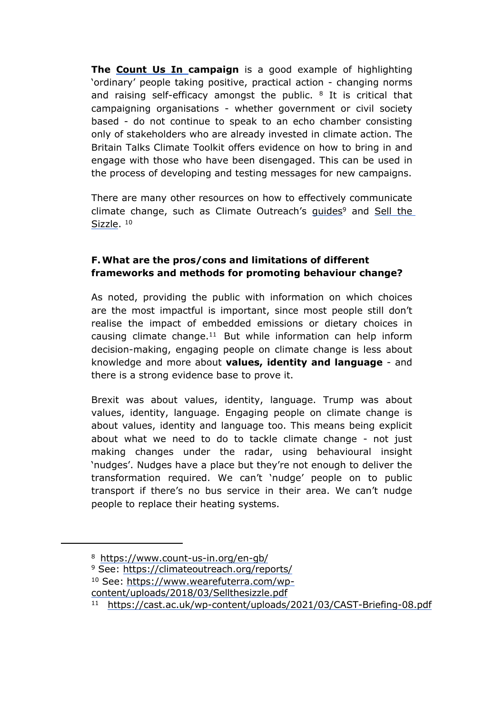**The [Count](https://www.count-us-in.org/) [Us](https://www.count-us-in.org/) [I](https://www.count-us-in.org/)n campaign** is a good example of highlighting 'ordinary' people taking positive, practical action - changing norms and raising self-efficacy amongst the public.  $8$  It is critical that campaigning organisations - whether government or civil society based - do not continue to speak to an echo chamber consisting only of stakeholders who are already invested in climate action. The Britain Talks Climate Toolkit offers evidence on how to bring in and engage with those who have been disengaged. This can be used in the process of developing and testing messages for new campaigns.

There are many other resources on how to effectively communicate climate change, such as Climate Outreach's [guides](https://climateoutreach.org/reports/)<sup>9</sup> and [Sell](https://www.wearefuterra.com/wp-content/uploads/2018/03/Sellthesizzle.pdf) [the](https://www.wearefuterra.com/wp-content/uploads/2018/03/Sellthesizzle.pdf) [Sizzle.](https://www.wearefuterra.com/wp-content/uploads/2018/03/Sellthesizzle.pdf)<sup>10</sup>

### **F.What are the pros/cons and limitations of different frameworks and methods for promoting behaviour change?**

As noted, providing the public with information on which choices are the most impactful is important, since most people still don't realise the impact of embedded emissions or dietary choices in causing climate change.<sup>11</sup> But while information can help inform decision-making, engaging people on climate change is less about knowledge and more about **values, identity and language** - and there is a strong evidence base to prove it.

Brexit was about values, identity, language. Trump was about values, identity, language. Engaging people on climate change is about values, identity and language too. This means being explicit about what we need to do to tackle climate change - not just making changes under the radar, using behavioural insight 'nudges'. Nudges have a place but they're not enough to deliver the transformation required. We can't 'nudge' people on to public transport if there's no bus service in their area. We can't nudge people to replace their heating systems.

- <sup>9</sup> See: https://climateoutreach[.o](https://climateoutreach.org/reports/)rg[/r](https://climateoutreach.org/reports/)eport[s/](https://climateoutreach.org/reports/)
- <sup>10</sup> See: [https://www.wearefuterra.com/wp-](https://www.wearefuterra.com/wp-content/uploads/2018/03/Sellthesizzle.pdf)
- content[/u](https://www.wearefuterra.com/wp-content/uploads/2018/03/Sellthesizzle.pdf)ploads[/2](https://www.wearefuterra.com/wp-content/uploads/2018/03/Sellthesizzle.pdf)01[8/](https://www.wearefuterra.com/wp-content/uploads/2018/03/Sellthesizzle.pdf)03[/S](https://www.wearefuterra.com/wp-content/uploads/2018/03/Sellthesizzle.pdf)ellthesizzl[e.](https://www.wearefuterra.com/wp-content/uploads/2018/03/Sellthesizzle.pdf)pdf
- <sup>11</sup> https://cast[.a](https://cast.ac.uk/wp-content/uploads/2021/03/CAST-Briefing-08.pdf)c[.u](https://cast.ac.uk/wp-content/uploads/2021/03/CAST-Briefing-08.pdf)k[/wp-](https://cast.ac.uk/wp-content/uploads/2021/03/CAST-Briefing-08.pdf)conten[t/](https://cast.ac.uk/wp-content/uploads/2021/03/CAST-Briefing-08.pdf)upload[s/2](https://cast.ac.uk/wp-content/uploads/2021/03/CAST-Briefing-08.pdf)021[/](https://cast.ac.uk/wp-content/uploads/2021/03/CAST-Briefing-08.pdf)0[3/](https://cast.ac.uk/wp-content/uploads/2021/03/CAST-Briefing-08.pdf)CAS[T-](https://cast.ac.uk/wp-content/uploads/2021/03/CAST-Briefing-08.pdf)Briefing[-08.](https://cast.ac.uk/wp-content/uploads/2021/03/CAST-Briefing-08.pdf)pdf

<sup>8</sup> https://www[.c](https://www.count-us-in.org/en-gb/)ount[-us-](https://www.count-us-in.org/en-gb/)in[.o](https://www.count-us-in.org/en-gb/)rg[/e](https://www.count-us-in.org/en-gb/)n[-gb/](https://www.count-us-in.org/en-gb/)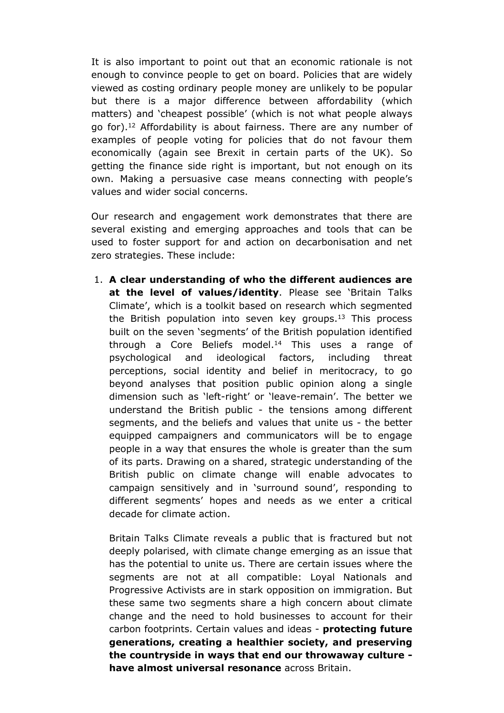It is also important to point out that an economic rationale is not enough to convince people to get on board. Policies that are widely viewed as costing ordinary people money are unlikely to be popular but there is a major difference between affordability (which matters) and 'cheapest possible' (which is not what people always go for).<sup>12</sup> Affordability is about fairness. There are any number of examples of people voting for policies that do not favour them economically (again see Brexit in certain parts of the UK). So getting the finance side right is important, but not enough on its own. Making a persuasive case means connecting with people's values and wider social concerns.

Our research and engagement work demonstrates that there are several existing and emerging approaches and tools that can be used to foster support for and action on decarbonisation and net zero strategies. These include:

1. **A clear understanding of who the different audiences are at the level of values/identity**. Please see 'Britain Talks Climate', which is a toolkit based on research which segmented the British population into seven key groups. $13$  This process built on the seven 'segments' of the British population identified through a Core Beliefs model. $14$  This uses a range of psychological and ideological factors, including threat perceptions, social identity and belief in meritocracy, to go beyond analyses that position public opinion along a single dimension such as 'left-right' or 'leave-remain'. The better we understand the British public - the tensions among different segments, and the beliefs and values that unite us - the better equipped campaigners and communicators will be to engage people in a way that ensures the whole is greater than the sum of its parts. Drawing on a shared, strategic understanding of the British public on climate change will enable advocates to campaign sensitively and in 'surround sound', responding to different segments' hopes and needs as we enter a critical decade for climate action.

Britain Talks Climate reveals a public that is fractured but not deeply polarised, with climate change emerging as an issue that has the potential to unite us. There are certain issues where the segments are not at all compatible: Loyal Nationals and Progressive Activists are in stark opposition on immigration. But these same two segments share a high concern about climate change and the need to hold businesses to account for their carbon footprints. Certain values and ideas - **protecting future generations, creating a healthier society, and preserving the countryside in ways that end our throwaway culture have almost universal resonance** across Britain.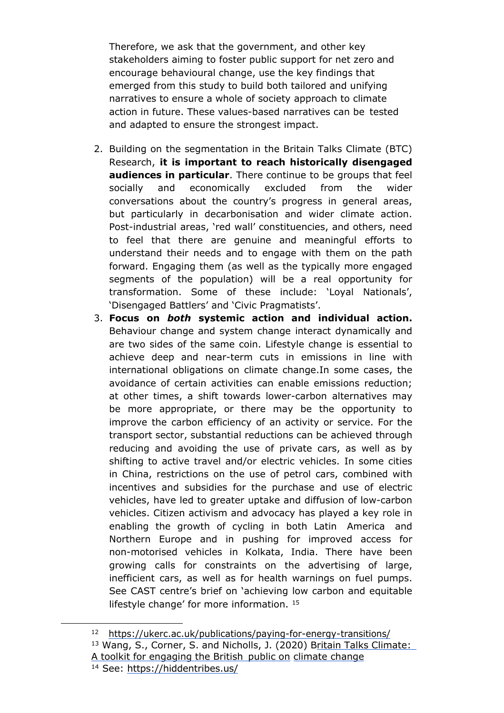Therefore, we ask that the government, and other key stakeholders aiming to foster public support for net zero and encourage behavioural change, use the key findings that emerged from this study to build both tailored and unifying narratives to ensure a whole of society approach to climate action in future. These values-based narratives can be tested and adapted to ensure the strongest impact.

- 2. Building on the segmentation in the Britain Talks Climate (BTC) Research, **it is important to reach historically disengaged audiences in particular**. There continue to be groups that feel socially and economically excluded from the wider conversations about the country's progress in general areas, but particularly in decarbonisation and wider climate action. Post-industrial areas, 'red wall' constituencies, and others, need to feel that there are genuine and meaningful efforts to understand their needs and to engage with them on the path forward. Engaging them (as well as the typically more engaged segments of the population) will be a real opportunity for transformation. Some of these include: 'Loyal Nationals', 'Disengaged Battlers' and 'Civic Pragmatists'.
- 3. **Focus on** *both* **systemic action and individual action.** Behaviour change and system change interact dynamically and are two sides of the same coin. Lifestyle change is essential to achieve deep and near-term cuts in emissions in line with international obligations on climate change.In some cases, the avoidance of certain activities can enable emissions reduction; at other times, a shift towards lower-carbon alternatives may be more appropriate, or there may be the opportunity to improve the carbon efficiency of an activity or service. For the transport sector, substantial reductions can be achieved through reducing and avoiding the use of private cars, as well as by shifting to active travel and/or electric vehicles. In some cities in China, restrictions on the use of petrol cars, combined with incentives and subsidies for the purchase and use of electric vehicles, have led to greater uptake and diffusion of low-carbon vehicles. Citizen activism and advocacy has played a key role in enabling the growth of cycling in both Latin America and Northern Europe and in pushing for improved access for non-motorised vehicles in Kolkata, India. There have been growing calls for constraints on the advertising of large, inefficient cars, as well as for health warnings on fuel pumps. See CAST centre's brief on 'achieving low carbon and equitable lifestyle change' for more information. 15

<sup>12</sup> [https://ukerc.ac.uk/publications/paying-for-energ](https://ukerc.ac.uk/publications/paying-for-energy-transitions/)y-transition[s/](https://ukerc.ac.uk/publications/paying-for-energy-transitions/)

<sup>13</sup> Wang, S., Corner, S. and Nicholls, J. (2020) [Britain](https://climateoutreach.org/britain-talks-climate/) [Talks](https://climateoutreach.org/britain-talks-climate/) [Climate:](https://climateoutreach.org/britain-talks-climate/) [A](https://climateoutreach.org/britain-talks-climate/) [toolkit](https://climateoutreach.org/britain-talks-climate/) [for](https://climateoutreach.org/britain-talks-climate/) [engaging](https://climateoutreach.org/britain-talks-climate/) [the](https://climateoutreach.org/britain-talks-climate/) [British](https://climateoutreach.org/britain-talks-climate/) [public](https://climateoutreach.org/britain-talks-climate/) [on](https://climateoutreach.org/britain-talks-climate/) [climate](https://climateoutreach.org/britain-talks-climate/) [change](https://climateoutreach.org/britain-talks-climate/) <sup>14</sup> See: https://hiddentribes[.us/](https://hiddentribes.us/)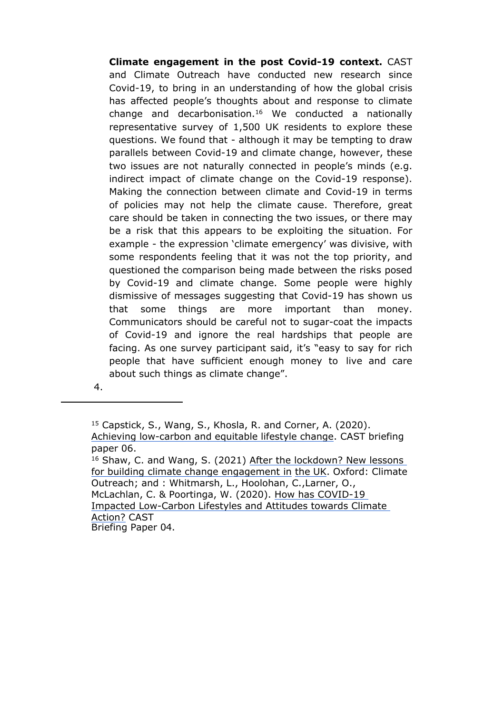**Climate engagement in the post Covid-19 context.** CAST and Climate Outreach have conducted new research since Covid-19, to bring in an understanding of how the global crisis has affected people's thoughts about and response to climate change and decarbonisation.<sup>16</sup> We conducted a nationally representative survey of 1,500 UK residents to explore these questions. We found that - although it may be tempting to draw parallels between Covid-19 and climate change, however, these two issues are not naturally connected in people's minds (e.g. indirect impact of climate change on the Covid-19 response). Making the connection between climate and Covid-19 in terms of policies may not help the climate cause. Therefore, great care should be taken in connecting the two issues, or there may be a risk that this appears to be exploiting the situation. For example - the expression 'climate emergency' was divisive, with some respondents feeling that it was not the top priority, and questioned the comparison being made between the risks posed by Covid-19 and climate change. Some people were highly dismissive of messages suggesting that Covid-19 has shown us that some things are more important than money. Communicators should be careful not to sugar-coat the impacts of Covid-19 and ignore the real hardships that people are facing. As one survey participant said, it's "easy to say for rich people that have sufficient enough money to live and care about such things as climate change".

4.

<sup>15</sup> Capstick, S., Wang, S., Khosla, R. and Corner, A. (2020). [Achieving](https://cast.ac.uk/wp-content/uploads/2021/01/CAST-Briefing06.pdf) [low-carbon](https://cast.ac.uk/wp-content/uploads/2021/01/CAST-Briefing06.pdf) [and](https://cast.ac.uk/wp-content/uploads/2021/01/CAST-Briefing06.pdf) [equitable](https://cast.ac.uk/wp-content/uploads/2021/01/CAST-Briefing06.pdf) [lifestyle](https://cast.ac.uk/wp-content/uploads/2021/01/CAST-Briefing06.pdf) [change.](https://cast.ac.uk/wp-content/uploads/2021/01/CAST-Briefing06.pdf) CAST briefing paper 06.

<sup>&</sup>lt;sup>16</sup> Shaw, C. and Wang, S. (2021) [After](https://climateoutreach.org/reports/after-lockdown-lessons-climate-change-engagement-uk/) [the](https://climateoutreach.org/reports/after-lockdown-lessons-climate-change-engagement-uk/) [lockdown?](https://climateoutreach.org/reports/after-lockdown-lessons-climate-change-engagement-uk/) [New](https://climateoutreach.org/reports/after-lockdown-lessons-climate-change-engagement-uk/) [lessons](https://climateoutreach.org/reports/after-lockdown-lessons-climate-change-engagement-uk/) [for](https://climateoutreach.org/reports/after-lockdown-lessons-climate-change-engagement-uk/) [building](https://climateoutreach.org/reports/after-lockdown-lessons-climate-change-engagement-uk/) [climate](https://climateoutreach.org/reports/after-lockdown-lessons-climate-change-engagement-uk/) [change](https://climateoutreach.org/reports/after-lockdown-lessons-climate-change-engagement-uk/) [engagement](https://climateoutreach.org/reports/after-lockdown-lessons-climate-change-engagement-uk/) [in](https://climateoutreach.org/reports/after-lockdown-lessons-climate-change-engagement-uk/) [the](https://climateoutreach.org/reports/after-lockdown-lessons-climate-change-engagement-uk/) [UK.](https://climateoutreach.org/reports/after-lockdown-lessons-climate-change-engagement-uk/) Oxford: Climate Outreach; and : Whitmarsh, L., Hoolohan, C.,Larner, O., McLachlan, C. & Poortinga, W. (2020). [How](https://cast.ac.uk/wp-content/uploads/2020/08/CAST-Briefing-04-Covid-low-carbon-choices-1.pdf) [has](https://cast.ac.uk/wp-content/uploads/2020/08/CAST-Briefing-04-Covid-low-carbon-choices-1.pdf) [COVID-19](https://cast.ac.uk/wp-content/uploads/2020/08/CAST-Briefing-04-Covid-low-carbon-choices-1.pdf) [Impacted](https://cast.ac.uk/wp-content/uploads/2020/08/CAST-Briefing-04-Covid-low-carbon-choices-1.pdf) [Low-Carbon](https://cast.ac.uk/wp-content/uploads/2020/08/CAST-Briefing-04-Covid-low-carbon-choices-1.pdf) [Lifestyles](https://cast.ac.uk/wp-content/uploads/2020/08/CAST-Briefing-04-Covid-low-carbon-choices-1.pdf) [and](https://cast.ac.uk/wp-content/uploads/2020/08/CAST-Briefing-04-Covid-low-carbon-choices-1.pdf) [Attitudes](https://cast.ac.uk/wp-content/uploads/2020/08/CAST-Briefing-04-Covid-low-carbon-choices-1.pdf) [towards](https://cast.ac.uk/wp-content/uploads/2020/08/CAST-Briefing-04-Covid-low-carbon-choices-1.pdf) [Climate](https://cast.ac.uk/wp-content/uploads/2020/08/CAST-Briefing-04-Covid-low-carbon-choices-1.pdf) [Action?](https://cast.ac.uk/wp-content/uploads/2020/08/CAST-Briefing-04-Covid-low-carbon-choices-1.pdf) CAST Briefing Paper 04.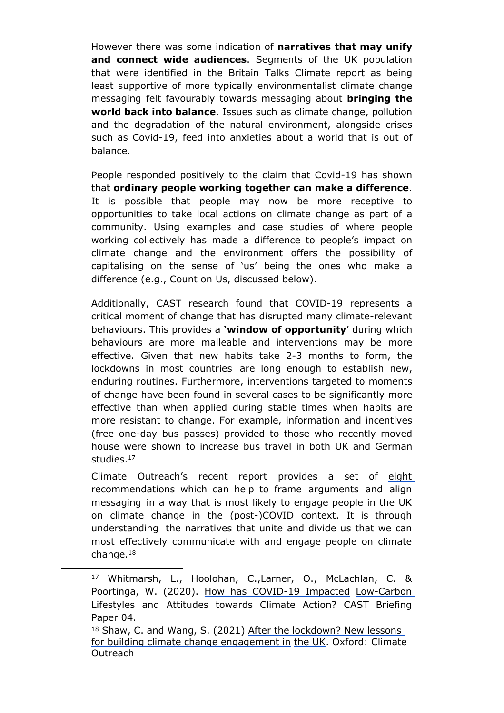However there was some indication of **narratives that may unify and connect wide audiences**. Segments of the UK population that were identified in the Britain Talks Climate report as being least supportive of more typically environmentalist climate change messaging felt favourably towards messaging about **bringing the world back into balance**. Issues such as climate change, pollution and the degradation of the natural environment, alongside crises such as Covid-19, feed into anxieties about a world that is out of balance.

People responded positively to the claim that Covid-19 has shown that **ordinary people working together can make a difference**. It is possible that people may now be more receptive to opportunities to take local actions on climate change as part of a community. Using examples and case studies of where people working collectively has made a difference to people's impact on climate change and the environment offers the possibility of capitalising on the sense of 'us' being the ones who make a difference (e.g., Count on Us, discussed below).

Additionally, CAST research found that COVID-19 represents a critical moment of change that has disrupted many climate-relevant behaviours. This provides a **'window of opportunity**' during which behaviours are more malleable and interventions may be more effective. Given that new habits take 2-3 months to form, the lockdowns in most countries are long enough to establish new, enduring routines. Furthermore, interventions targeted to moments of change have been found in several cases to be significantly more effective than when applied during stable times when habits are more resistant to change. For example, information and incentives (free one-day bus passes) provided to those who recently moved house were shown to increase bus travel in both UK and German studies.<sup>17</sup>

Climate Outreach's recent report provides a set of [eight](https://climateoutreach.org/reports/after-lockdown-lessons-climate-change-engagement-uk) [recommendations](https://climateoutreach.org/reports/after-lockdown-lessons-climate-change-engagement-uk) which can help to frame arguments and align messaging in a way that is most likely to engage people in the UK on climate change in the (post-)COVID context. It is through understanding the narratives that unite and divide us that we can most effectively communicate with and engage people on climate change.<sup>18</sup>

<sup>17</sup> Whitmarsh, L., Hoolohan, C.,Larner, O., McLachlan, C. & Poortinga, W. (2020). [How](https://cast.ac.uk/wp-content/uploads/2020/08/CAST-Briefing-04-Covid-low-carbon-choices-1.pdf) [has](https://cast.ac.uk/wp-content/uploads/2020/08/CAST-Briefing-04-Covid-low-carbon-choices-1.pdf) [COVID-19](https://cast.ac.uk/wp-content/uploads/2020/08/CAST-Briefing-04-Covid-low-carbon-choices-1.pdf) [Impacted](https://cast.ac.uk/wp-content/uploads/2020/08/CAST-Briefing-04-Covid-low-carbon-choices-1.pdf) [Low-Carbon](https://cast.ac.uk/wp-content/uploads/2020/08/CAST-Briefing-04-Covid-low-carbon-choices-1.pdf) [Lifestyles](https://cast.ac.uk/wp-content/uploads/2020/08/CAST-Briefing-04-Covid-low-carbon-choices-1.pdf) [and](https://cast.ac.uk/wp-content/uploads/2020/08/CAST-Briefing-04-Covid-low-carbon-choices-1.pdf) [Attitudes](https://cast.ac.uk/wp-content/uploads/2020/08/CAST-Briefing-04-Covid-low-carbon-choices-1.pdf) [towards](https://cast.ac.uk/wp-content/uploads/2020/08/CAST-Briefing-04-Covid-low-carbon-choices-1.pdf) [Climate](https://cast.ac.uk/wp-content/uploads/2020/08/CAST-Briefing-04-Covid-low-carbon-choices-1.pdf) [Action?](https://cast.ac.uk/wp-content/uploads/2020/08/CAST-Briefing-04-Covid-low-carbon-choices-1.pdf) [C](https://cast.ac.uk/wp-content/uploads/2020/08/CAST-Briefing-04-Covid-low-carbon-choices-1.pdf)AST Briefing Paper 04.

<sup>&</sup>lt;sup>18</sup> Shaw, C. and Wang, S. (2021) [After](https://climateoutreach.org/reports/after-lockdown-lessons-climate-change-engagement-uk/) [the](https://climateoutreach.org/reports/after-lockdown-lessons-climate-change-engagement-uk/) [lockdown?](https://climateoutreach.org/reports/after-lockdown-lessons-climate-change-engagement-uk/) [New](https://climateoutreach.org/reports/after-lockdown-lessons-climate-change-engagement-uk/) [lessons](https://climateoutreach.org/reports/after-lockdown-lessons-climate-change-engagement-uk/) [for](https://climateoutreach.org/reports/after-lockdown-lessons-climate-change-engagement-uk/) [building](https://climateoutreach.org/reports/after-lockdown-lessons-climate-change-engagement-uk/) [climate](https://climateoutreach.org/reports/after-lockdown-lessons-climate-change-engagement-uk/) [change](https://climateoutreach.org/reports/after-lockdown-lessons-climate-change-engagement-uk/) [engagement](https://climateoutreach.org/reports/after-lockdown-lessons-climate-change-engagement-uk/) [in](https://climateoutreach.org/reports/after-lockdown-lessons-climate-change-engagement-uk/) [the](https://climateoutreach.org/reports/after-lockdown-lessons-climate-change-engagement-uk/) [UK.](https://climateoutreach.org/reports/after-lockdown-lessons-climate-change-engagement-uk/) Oxford: Climate **Outreach**